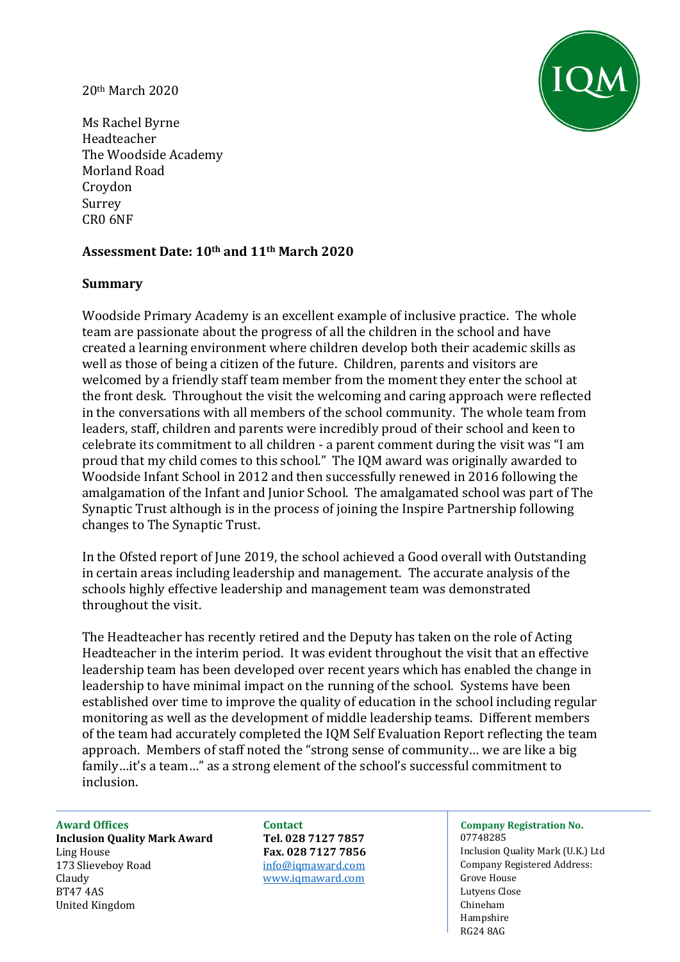#### 20th March 2020



Ms Rachel Byrne Headteacher The Woodside Academy Morland Road Croydon Surrey CR0 6NF

# **Assessment Date: 10th and 11th March 2020**

# **Summary**

Woodside Primary Academy is an excellent example of inclusive practice. The whole team are passionate about the progress of all the children in the school and have created a learning environment where children develop both their academic skills as well as those of being a citizen of the future. Children, parents and visitors are welcomed by a friendly staff team member from the moment they enter the school at the front desk. Throughout the visit the welcoming and caring approach were reflected in the conversations with all members of the school community. The whole team from leaders, staff, children and parents were incredibly proud of their school and keen to celebrate its commitment to all children - a parent comment during the visit was "I am proud that my child comes to this school." The IQM award was originally awarded to Woodside Infant School in 2012 and then successfully renewed in 2016 following the amalgamation of the Infant and Junior School. The amalgamated school was part of The Synaptic Trust although is in the process of joining the Inspire Partnership following changes to The Synaptic Trust.

In the Ofsted report of June 2019, the school achieved a Good overall with Outstanding in certain areas including leadership and management. The accurate analysis of the schools highly effective leadership and management team was demonstrated throughout the visit.

The Headteacher has recently retired and the Deputy has taken on the role of Acting Headteacher in the interim period. It was evident throughout the visit that an effective leadership team has been developed over recent years which has enabled the change in leadership to have minimal impact on the running of the school. Systems have been established over time to improve the quality of education in the school including regular monitoring as well as the development of middle leadership teams. Different members of the team had accurately completed the IQM Self Evaluation Report reflecting the team approach. Members of staff noted the "strong sense of community… we are like a big family…it's a team…" as a strong element of the school's successful commitment to inclusion.

**Inclusion Quality Mark Award Tel. 028 7127 7857** 07748285 Ling House **Fax. 028 7127 7856** Inclusion Quality Mark (U.K.) Ltd 173 Slieveboy Road info@igmaward.com company Registered Address: Claudy [www.iqmaward.com](http://www.iqmaward.com/) Grove House BT47 4AS Lutyens Close United Kingdom Chineham Chineham Chineham Chineham Chineham Chineham Chineham Chineham Chineham Chineham Chineham

# **Award Offices Contact Company Registration No.**

Hampshire RG24 8AG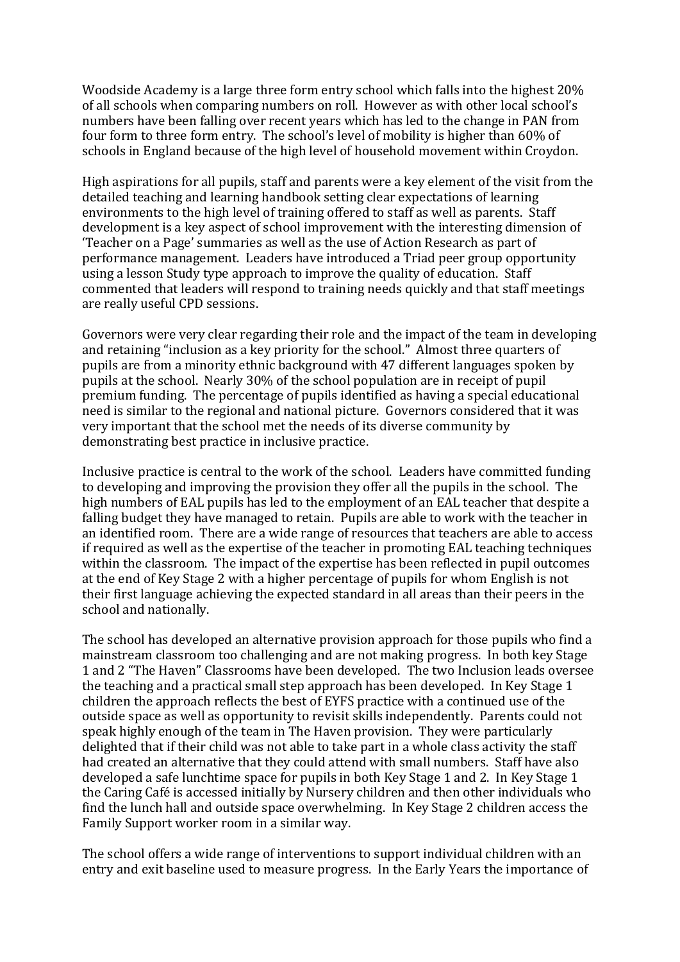Woodside Academy is a large three form entry school which falls into the highest 20% of all schools when comparing numbers on roll. However as with other local school's numbers have been falling over recent years which has led to the change in PAN from four form to three form entry. The school's level of mobility is higher than 60% of schools in England because of the high level of household movement within Croydon.

High aspirations for all pupils, staff and parents were a key element of the visit from the detailed teaching and learning handbook setting clear expectations of learning environments to the high level of training offered to staff as well as parents. Staff development is a key aspect of school improvement with the interesting dimension of 'Teacher on a Page' summaries as well as the use of Action Research as part of performance management. Leaders have introduced a Triad peer group opportunity using a lesson Study type approach to improve the quality of education. Staff commented that leaders will respond to training needs quickly and that staff meetings are really useful CPD sessions.

Governors were very clear regarding their role and the impact of the team in developing and retaining "inclusion as a key priority for the school." Almost three quarters of pupils are from a minority ethnic background with 47 different languages spoken by pupils at the school. Nearly 30% of the school population are in receipt of pupil premium funding. The percentage of pupils identified as having a special educational need is similar to the regional and national picture. Governors considered that it was very important that the school met the needs of its diverse community by demonstrating best practice in inclusive practice.

Inclusive practice is central to the work of the school. Leaders have committed funding to developing and improving the provision they offer all the pupils in the school. The high numbers of EAL pupils has led to the employment of an EAL teacher that despite a falling budget they have managed to retain. Pupils are able to work with the teacher in an identified room. There are a wide range of resources that teachers are able to access if required as well as the expertise of the teacher in promoting EAL teaching techniques within the classroom. The impact of the expertise has been reflected in pupil outcomes at the end of Key Stage 2 with a higher percentage of pupils for whom English is not their first language achieving the expected standard in all areas than their peers in the school and nationally.

The school has developed an alternative provision approach for those pupils who find a mainstream classroom too challenging and are not making progress. In both key Stage 1 and 2 "The Haven" Classrooms have been developed. The two Inclusion leads oversee the teaching and a practical small step approach has been developed. In Key Stage 1 children the approach reflects the best of EYFS practice with a continued use of the outside space as well as opportunity to revisit skills independently. Parents could not speak highly enough of the team in The Haven provision. They were particularly delighted that if their child was not able to take part in a whole class activity the staff had created an alternative that they could attend with small numbers. Staff have also developed a safe lunchtime space for pupils in both Key Stage 1 and 2. In Key Stage 1 the Caring Café is accessed initially by Nursery children and then other individuals who find the lunch hall and outside space overwhelming. In Key Stage 2 children access the Family Support worker room in a similar way.

The school offers a wide range of interventions to support individual children with an entry and exit baseline used to measure progress. In the Early Years the importance of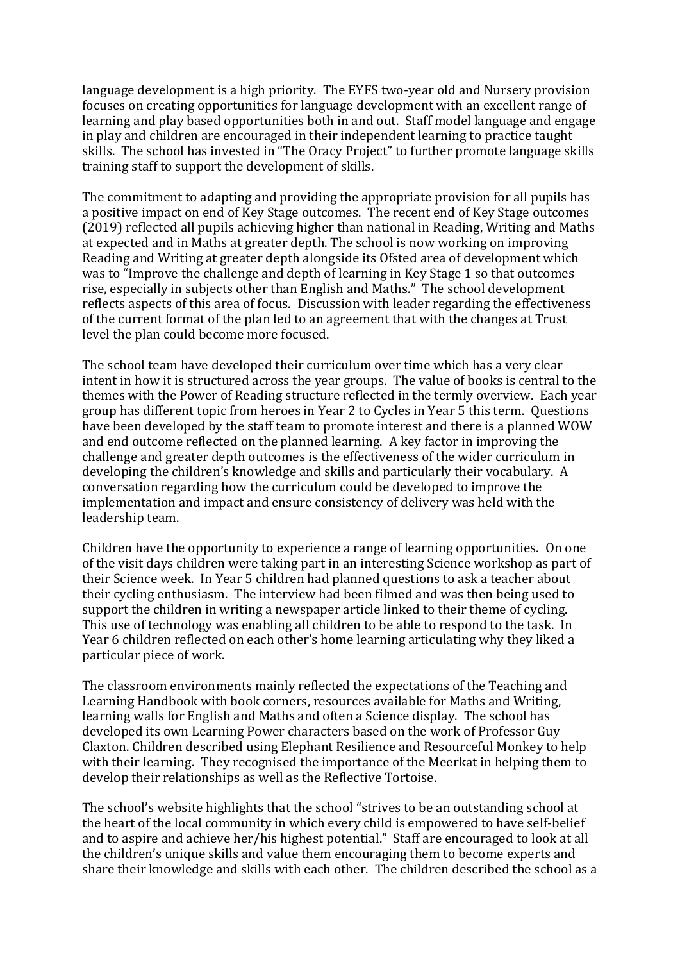language development is a high priority. The EYFS two-year old and Nursery provision focuses on creating opportunities for language development with an excellent range of learning and play based opportunities both in and out. Staff model language and engage in play and children are encouraged in their independent learning to practice taught skills. The school has invested in "The Oracy Project" to further promote language skills training staff to support the development of skills.

The commitment to adapting and providing the appropriate provision for all pupils has a positive impact on end of Key Stage outcomes. The recent end of Key Stage outcomes (2019) reflected all pupils achieving higher than national in Reading, Writing and Maths at expected and in Maths at greater depth. The school is now working on improving Reading and Writing at greater depth alongside its Ofsted area of development which was to "Improve the challenge and depth of learning in Key Stage 1 so that outcomes rise, especially in subjects other than English and Maths." The school development reflects aspects of this area of focus. Discussion with leader regarding the effectiveness of the current format of the plan led to an agreement that with the changes at Trust level the plan could become more focused.

The school team have developed their curriculum over time which has a very clear intent in how it is structured across the year groups. The value of books is central to the themes with the Power of Reading structure reflected in the termly overview. Each year group has different topic from heroes in Year 2 to Cycles in Year 5 this term. Questions have been developed by the staff team to promote interest and there is a planned WOW and end outcome reflected on the planned learning. A key factor in improving the challenge and greater depth outcomes is the effectiveness of the wider curriculum in developing the children's knowledge and skills and particularly their vocabulary. A conversation regarding how the curriculum could be developed to improve the implementation and impact and ensure consistency of delivery was held with the leadership team.

Children have the opportunity to experience a range of learning opportunities. On one of the visit days children were taking part in an interesting Science workshop as part of their Science week. In Year 5 children had planned questions to ask a teacher about their cycling enthusiasm. The interview had been filmed and was then being used to support the children in writing a newspaper article linked to their theme of cycling. This use of technology was enabling all children to be able to respond to the task. In Year 6 children reflected on each other's home learning articulating why they liked a particular piece of work.

The classroom environments mainly reflected the expectations of the Teaching and Learning Handbook with book corners, resources available for Maths and Writing, learning walls for English and Maths and often a Science display. The school has developed its own Learning Power characters based on the work of Professor Guy Claxton. Children described using Elephant Resilience and Resourceful Monkey to help with their learning. They recognised the importance of the Meerkat in helping them to develop their relationships as well as the Reflective Tortoise.

The school's website highlights that the school "strives to be an outstanding school at the heart of the local community in which every child is empowered to have self-belief and to aspire and achieve her/his highest potential." Staff are encouraged to look at all the children's unique skills and value them encouraging them to become experts and share their knowledge and skills with each other. The children described the school as a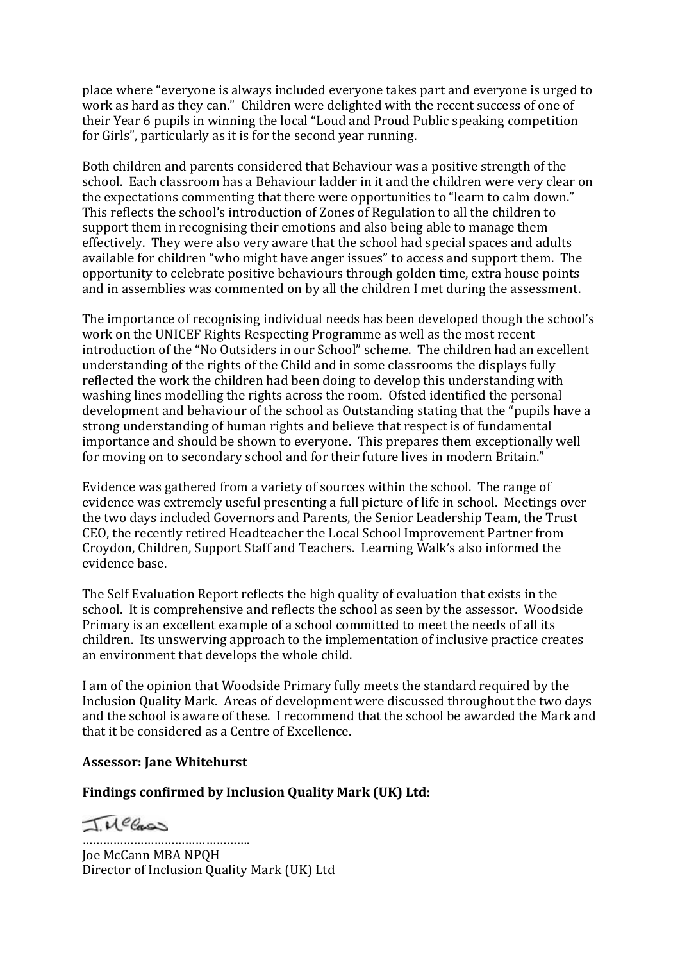place where "everyone is always included everyone takes part and everyone is urged to work as hard as they can." Children were delighted with the recent success of one of their Year 6 pupils in winning the local "Loud and Proud Public speaking competition for Girls", particularly as it is for the second year running.

Both children and parents considered that Behaviour was a positive strength of the school. Each classroom has a Behaviour ladder in it and the children were very clear on the expectations commenting that there were opportunities to "learn to calm down." This reflects the school's introduction of Zones of Regulation to all the children to support them in recognising their emotions and also being able to manage them effectively. They were also very aware that the school had special spaces and adults available for children "who might have anger issues" to access and support them. The opportunity to celebrate positive behaviours through golden time, extra house points and in assemblies was commented on by all the children I met during the assessment.

The importance of recognising individual needs has been developed though the school's work on the UNICEF Rights Respecting Programme as well as the most recent introduction of the "No Outsiders in our School" scheme. The children had an excellent understanding of the rights of the Child and in some classrooms the displays fully reflected the work the children had been doing to develop this understanding with washing lines modelling the rights across the room. Ofsted identified the personal development and behaviour of the school as Outstanding stating that the "pupils have a strong understanding of human rights and believe that respect is of fundamental importance and should be shown to everyone. This prepares them exceptionally well for moving on to secondary school and for their future lives in modern Britain."

Evidence was gathered from a variety of sources within the school. The range of evidence was extremely useful presenting a full picture of life in school. Meetings over the two days included Governors and Parents, the Senior Leadership Team, the Trust CEO, the recently retired Headteacher the Local School Improvement Partner from Croydon, Children, Support Staff and Teachers. Learning Walk's also informed the evidence base.

The Self Evaluation Report reflects the high quality of evaluation that exists in the school. It is comprehensive and reflects the school as seen by the assessor. Woodside Primary is an excellent example of a school committed to meet the needs of all its children. Its unswerving approach to the implementation of inclusive practice creates an environment that develops the whole child.

I am of the opinion that Woodside Primary fully meets the standard required by the Inclusion Quality Mark. Areas of development were discussed throughout the two days and the school is aware of these. I recommend that the school be awarded the Mark and that it be considered as a Centre of Excellence.

#### **Assessor: Jane Whitehurst**

#### **Findings confirmed by Inclusion Quality Mark (UK) Ltd:**

INCCas

…………………………………………. Joe McCann MBA NPQH Director of Inclusion Quality Mark (UK) Ltd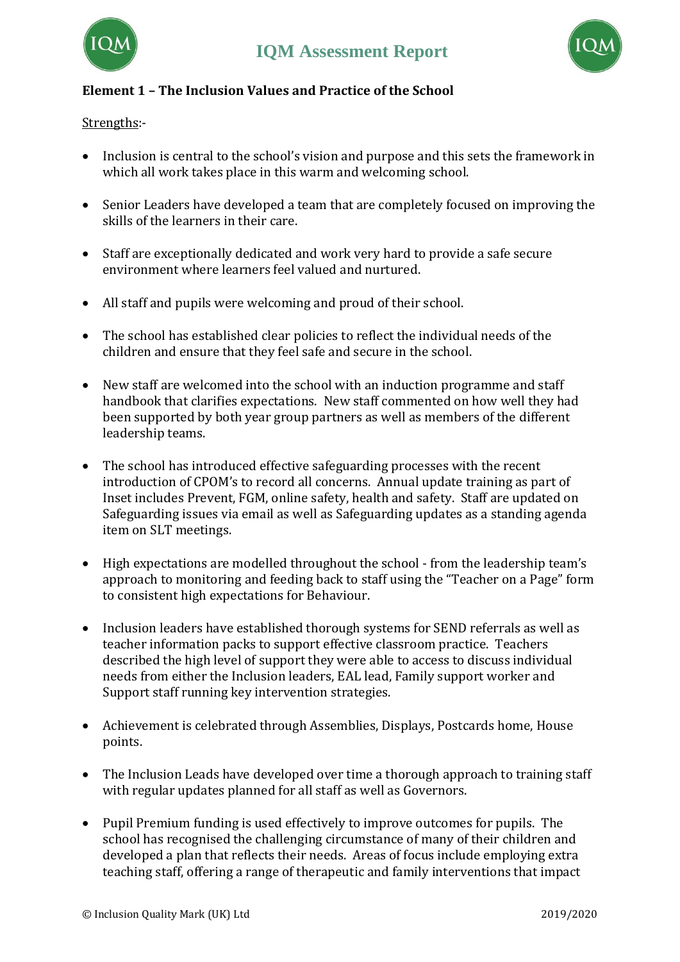



# **Element 1 – The Inclusion Values and Practice of the School**

Strengths:-

- Inclusion is central to the school's vision and purpose and this sets the framework in which all work takes place in this warm and welcoming school.
- Senior Leaders have developed a team that are completely focused on improving the skills of the learners in their care.
- Staff are exceptionally dedicated and work very hard to provide a safe secure environment where learners feel valued and nurtured.
- All staff and pupils were welcoming and proud of their school.
- The school has established clear policies to reflect the individual needs of the children and ensure that they feel safe and secure in the school.
- New staff are welcomed into the school with an induction programme and staff handbook that clarifies expectations. New staff commented on how well they had been supported by both year group partners as well as members of the different leadership teams.
- The school has introduced effective safeguarding processes with the recent introduction of CPOM's to record all concerns. Annual update training as part of Inset includes Prevent, FGM, online safety, health and safety. Staff are updated on Safeguarding issues via email as well as Safeguarding updates as a standing agenda item on SLT meetings.
- High expectations are modelled throughout the school from the leadership team's approach to monitoring and feeding back to staff using the "Teacher on a Page" form to consistent high expectations for Behaviour.
- Inclusion leaders have established thorough systems for SEND referrals as well as teacher information packs to support effective classroom practice. Teachers described the high level of support they were able to access to discuss individual needs from either the Inclusion leaders, EAL lead, Family support worker and Support staff running key intervention strategies.
- Achievement is celebrated through Assemblies, Displays, Postcards home, House points.
- The Inclusion Leads have developed over time a thorough approach to training staff with regular updates planned for all staff as well as Governors.
- Pupil Premium funding is used effectively to improve outcomes for pupils. The school has recognised the challenging circumstance of many of their children and developed a plan that reflects their needs. Areas of focus include employing extra teaching staff, offering a range of therapeutic and family interventions that impact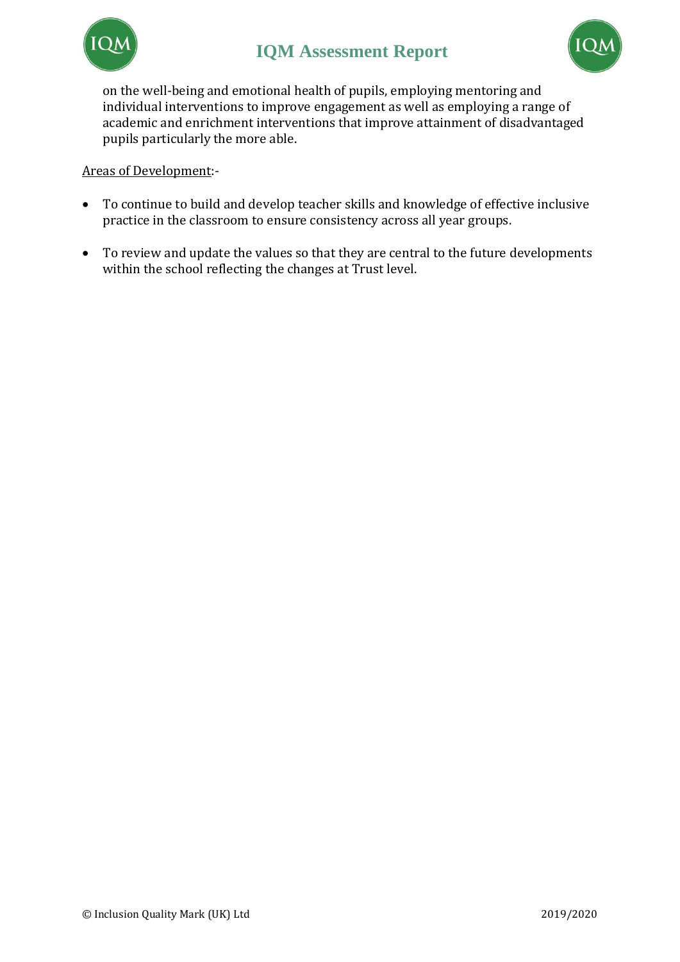



on the well-being and emotional health of pupils, employing mentoring and individual interventions to improve engagement as well as employing a range of academic and enrichment interventions that improve attainment of disadvantaged pupils particularly the more able.

- To continue to build and develop teacher skills and knowledge of effective inclusive practice in the classroom to ensure consistency across all year groups.
- To review and update the values so that they are central to the future developments within the school reflecting the changes at Trust level.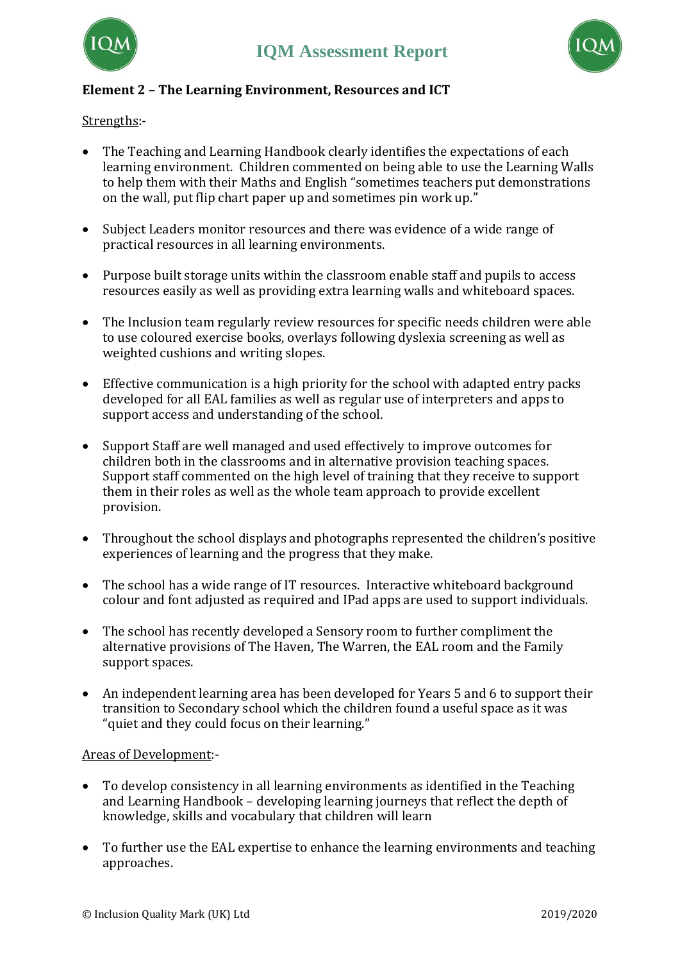



#### **Element 2 – The Learning Environment, Resources and ICT**

Strengths:-

- The Teaching and Learning Handbook clearly identifies the expectations of each learning environment. Children commented on being able to use the Learning Walls to help them with their Maths and English "sometimes teachers put demonstrations on the wall, put flip chart paper up and sometimes pin work up."
- Subject Leaders monitor resources and there was evidence of a wide range of practical resources in all learning environments.
- Purpose built storage units within the classroom enable staff and pupils to access resources easily as well as providing extra learning walls and whiteboard spaces.
- The Inclusion team regularly review resources for specific needs children were able to use coloured exercise books, overlays following dyslexia screening as well as weighted cushions and writing slopes.
- Effective communication is a high priority for the school with adapted entry packs developed for all EAL families as well as regular use of interpreters and apps to support access and understanding of the school.
- Support Staff are well managed and used effectively to improve outcomes for children both in the classrooms and in alternative provision teaching spaces. Support staff commented on the high level of training that they receive to support them in their roles as well as the whole team approach to provide excellent provision.
- Throughout the school displays and photographs represented the children's positive experiences of learning and the progress that they make.
- The school has a wide range of IT resources. Interactive whiteboard background colour and font adjusted as required and IPad apps are used to support individuals.
- The school has recently developed a Sensory room to further compliment the alternative provisions of The Haven, The Warren, the EAL room and the Family support spaces.
- An independent learning area has been developed for Years 5 and 6 to support their transition to Secondary school which the children found a useful space as it was "quiet and they could focus on their learning."

- To develop consistency in all learning environments as identified in the Teaching and Learning Handbook – developing learning journeys that reflect the depth of knowledge, skills and vocabulary that children will learn
- To further use the EAL expertise to enhance the learning environments and teaching approaches.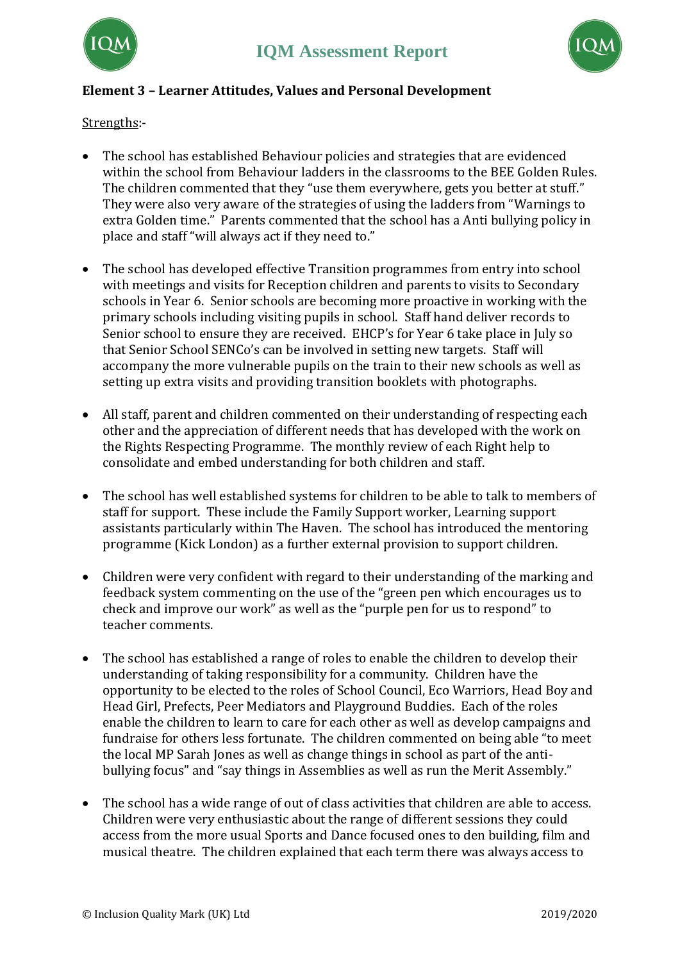



# **Element 3 – Learner Attitudes, Values and Personal Development**

Strengths:-

- The school has established Behaviour policies and strategies that are evidenced within the school from Behaviour ladders in the classrooms to the BEE Golden Rules. The children commented that they "use them everywhere, gets you better at stuff." They were also very aware of the strategies of using the ladders from "Warnings to extra Golden time." Parents commented that the school has a Anti bullying policy in place and staff "will always act if they need to."
- The school has developed effective Transition programmes from entry into school with meetings and visits for Reception children and parents to visits to Secondary schools in Year 6. Senior schools are becoming more proactive in working with the primary schools including visiting pupils in school. Staff hand deliver records to Senior school to ensure they are received. EHCP's for Year 6 take place in July so that Senior School SENCo's can be involved in setting new targets. Staff will accompany the more vulnerable pupils on the train to their new schools as well as setting up extra visits and providing transition booklets with photographs.
- All staff, parent and children commented on their understanding of respecting each other and the appreciation of different needs that has developed with the work on the Rights Respecting Programme. The monthly review of each Right help to consolidate and embed understanding for both children and staff.
- The school has well established systems for children to be able to talk to members of staff for support. These include the Family Support worker, Learning support assistants particularly within The Haven. The school has introduced the mentoring programme (Kick London) as a further external provision to support children.
- Children were very confident with regard to their understanding of the marking and feedback system commenting on the use of the "green pen which encourages us to check and improve our work" as well as the "purple pen for us to respond" to teacher comments.
- The school has established a range of roles to enable the children to develop their understanding of taking responsibility for a community. Children have the opportunity to be elected to the roles of School Council, Eco Warriors, Head Boy and Head Girl, Prefects, Peer Mediators and Playground Buddies. Each of the roles enable the children to learn to care for each other as well as develop campaigns and fundraise for others less fortunate. The children commented on being able "to meet the local MP Sarah Jones as well as change things in school as part of the antibullying focus" and "say things in Assemblies as well as run the Merit Assembly."
- The school has a wide range of out of class activities that children are able to access. Children were very enthusiastic about the range of different sessions they could access from the more usual Sports and Dance focused ones to den building, film and musical theatre. The children explained that each term there was always access to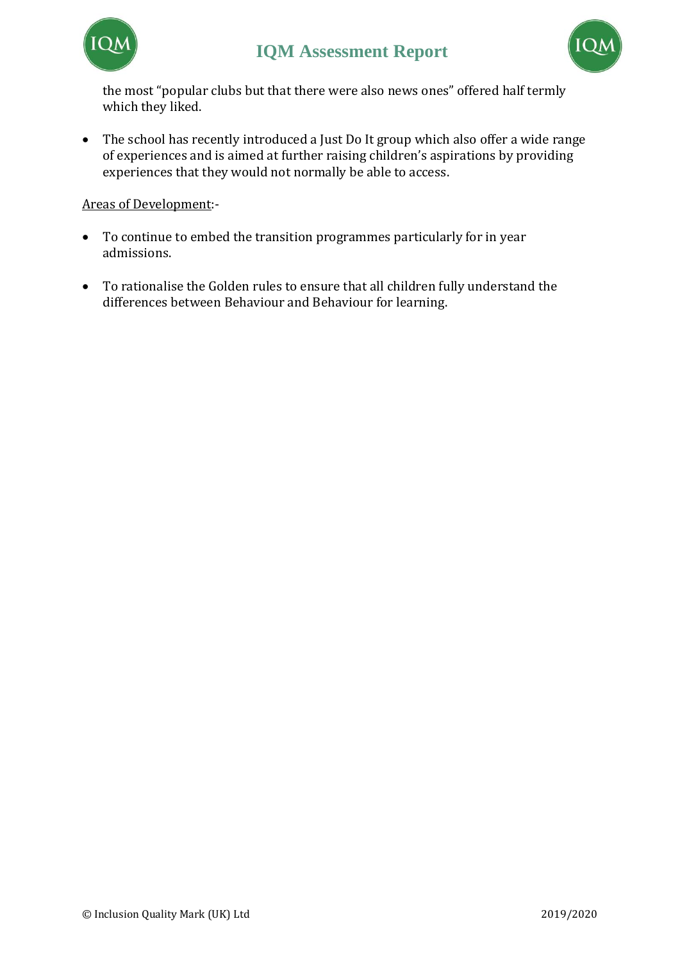



the most "popular clubs but that there were also news ones" offered half termly which they liked.

• The school has recently introduced a Just Do It group which also offer a wide range of experiences and is aimed at further raising children's aspirations by providing experiences that they would not normally be able to access.

- To continue to embed the transition programmes particularly for in year admissions.
- To rationalise the Golden rules to ensure that all children fully understand the differences between Behaviour and Behaviour for learning.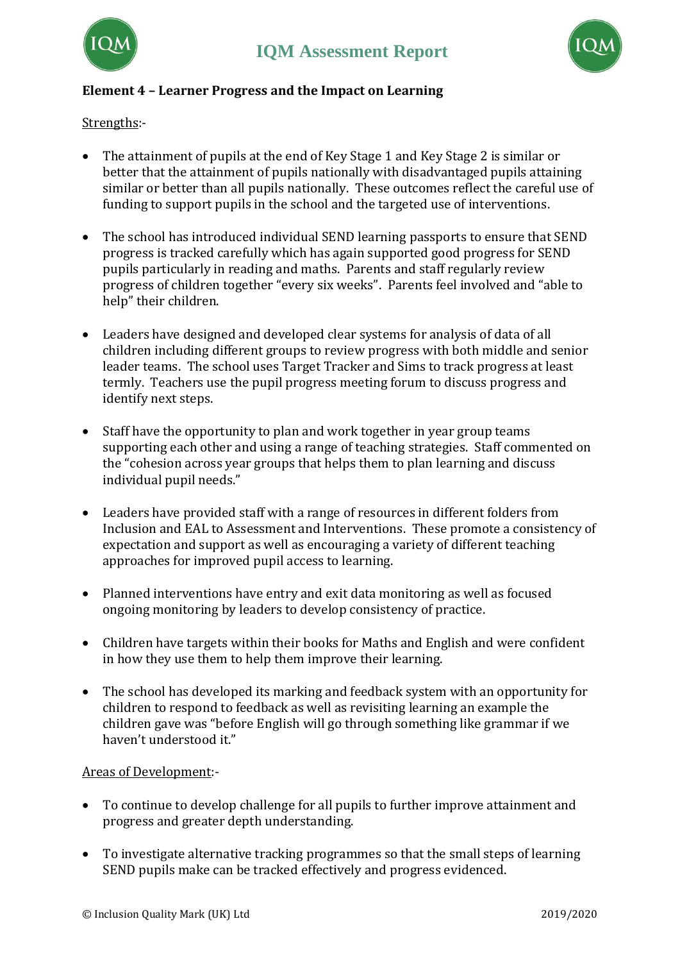



# **Element 4 – Learner Progress and the Impact on Learning**

Strengths:-

- The attainment of pupils at the end of Key Stage 1 and Key Stage 2 is similar or better that the attainment of pupils nationally with disadvantaged pupils attaining similar or better than all pupils nationally. These outcomes reflect the careful use of funding to support pupils in the school and the targeted use of interventions.
- The school has introduced individual SEND learning passports to ensure that SEND progress is tracked carefully which has again supported good progress for SEND pupils particularly in reading and maths. Parents and staff regularly review progress of children together "every six weeks". Parents feel involved and "able to help" their children.
- Leaders have designed and developed clear systems for analysis of data of all children including different groups to review progress with both middle and senior leader teams. The school uses Target Tracker and Sims to track progress at least termly. Teachers use the pupil progress meeting forum to discuss progress and identify next steps.
- Staff have the opportunity to plan and work together in year group teams supporting each other and using a range of teaching strategies. Staff commented on the "cohesion across year groups that helps them to plan learning and discuss individual pupil needs."
- Leaders have provided staff with a range of resources in different folders from Inclusion and EAL to Assessment and Interventions. These promote a consistency of expectation and support as well as encouraging a variety of different teaching approaches for improved pupil access to learning.
- Planned interventions have entry and exit data monitoring as well as focused ongoing monitoring by leaders to develop consistency of practice.
- Children have targets within their books for Maths and English and were confident in how they use them to help them improve their learning.
- The school has developed its marking and feedback system with an opportunity for children to respond to feedback as well as revisiting learning an example the children gave was "before English will go through something like grammar if we haven't understood it."

- To continue to develop challenge for all pupils to further improve attainment and progress and greater depth understanding.
- To investigate alternative tracking programmes so that the small steps of learning SEND pupils make can be tracked effectively and progress evidenced.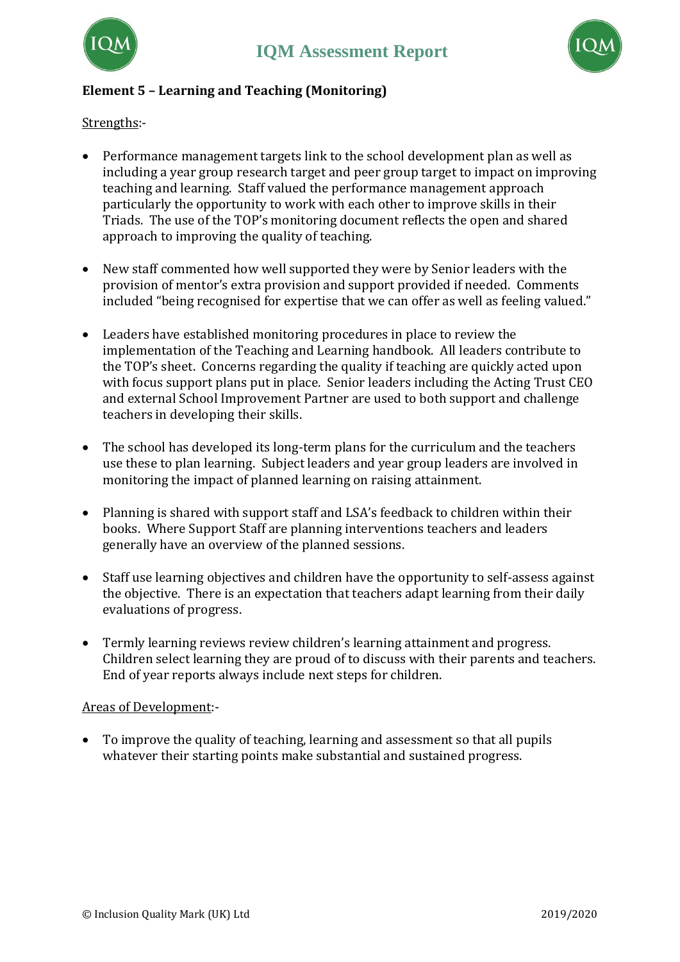



## **Element 5 – Learning and Teaching (Monitoring)**

Strengths:-

- Performance management targets link to the school development plan as well as including a year group research target and peer group target to impact on improving teaching and learning. Staff valued the performance management approach particularly the opportunity to work with each other to improve skills in their Triads. The use of the TOP's monitoring document reflects the open and shared approach to improving the quality of teaching.
- New staff commented how well supported they were by Senior leaders with the provision of mentor's extra provision and support provided if needed. Comments included "being recognised for expertise that we can offer as well as feeling valued."
- Leaders have established monitoring procedures in place to review the implementation of the Teaching and Learning handbook. All leaders contribute to the TOP's sheet. Concerns regarding the quality if teaching are quickly acted upon with focus support plans put in place. Senior leaders including the Acting Trust CEO and external School Improvement Partner are used to both support and challenge teachers in developing their skills.
- The school has developed its long-term plans for the curriculum and the teachers use these to plan learning. Subject leaders and year group leaders are involved in monitoring the impact of planned learning on raising attainment.
- Planning is shared with support staff and LSA's feedback to children within their books. Where Support Staff are planning interventions teachers and leaders generally have an overview of the planned sessions.
- Staff use learning objectives and children have the opportunity to self-assess against the objective. There is an expectation that teachers adapt learning from their daily evaluations of progress.
- Termly learning reviews review children's learning attainment and progress. Children select learning they are proud of to discuss with their parents and teachers. End of year reports always include next steps for children.

#### Areas of Development:-

• To improve the quality of teaching, learning and assessment so that all pupils whatever their starting points make substantial and sustained progress.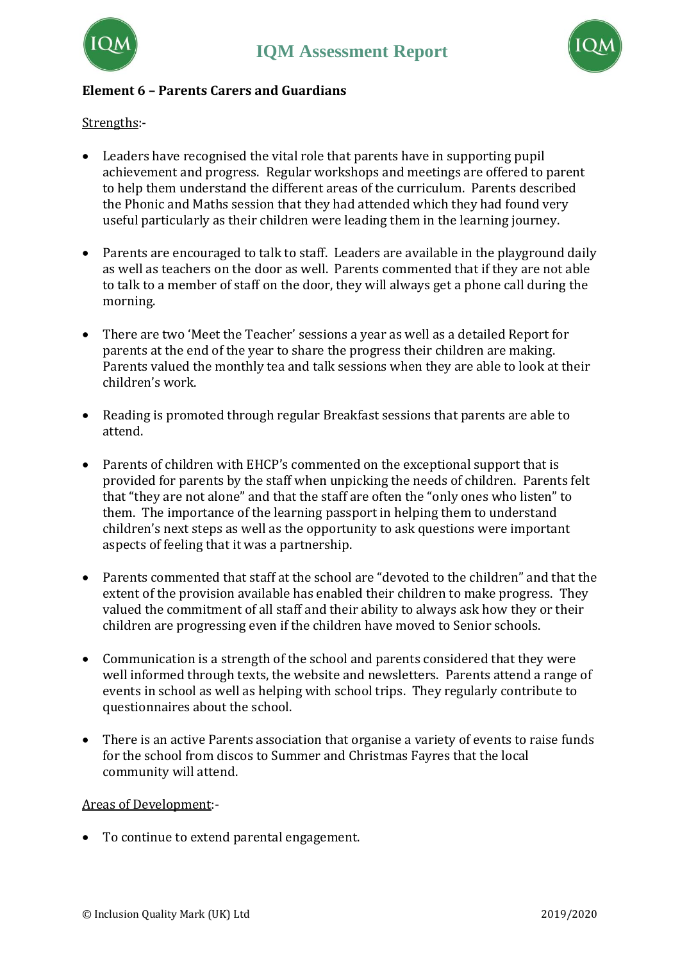



## **Element 6 – Parents Carers and Guardians**

Strengths:-

- Leaders have recognised the vital role that parents have in supporting pupil achievement and progress. Regular workshops and meetings are offered to parent to help them understand the different areas of the curriculum. Parents described the Phonic and Maths session that they had attended which they had found very useful particularly as their children were leading them in the learning journey.
- Parents are encouraged to talk to staff. Leaders are available in the playground daily as well as teachers on the door as well. Parents commented that if they are not able to talk to a member of staff on the door, they will always get a phone call during the morning.
- There are two 'Meet the Teacher' sessions a year as well as a detailed Report for parents at the end of the year to share the progress their children are making. Parents valued the monthly tea and talk sessions when they are able to look at their children's work.
- Reading is promoted through regular Breakfast sessions that parents are able to attend.
- Parents of children with EHCP's commented on the exceptional support that is provided for parents by the staff when unpicking the needs of children. Parents felt that "they are not alone" and that the staff are often the "only ones who listen" to them. The importance of the learning passport in helping them to understand children's next steps as well as the opportunity to ask questions were important aspects of feeling that it was a partnership.
- Parents commented that staff at the school are "devoted to the children" and that the extent of the provision available has enabled their children to make progress. They valued the commitment of all staff and their ability to always ask how they or their children are progressing even if the children have moved to Senior schools.
- Communication is a strength of the school and parents considered that they were well informed through texts, the website and newsletters. Parents attend a range of events in school as well as helping with school trips. They regularly contribute to questionnaires about the school.
- There is an active Parents association that organise a variety of events to raise funds for the school from discos to Summer and Christmas Fayres that the local community will attend.

#### Areas of Development:-

• To continue to extend parental engagement.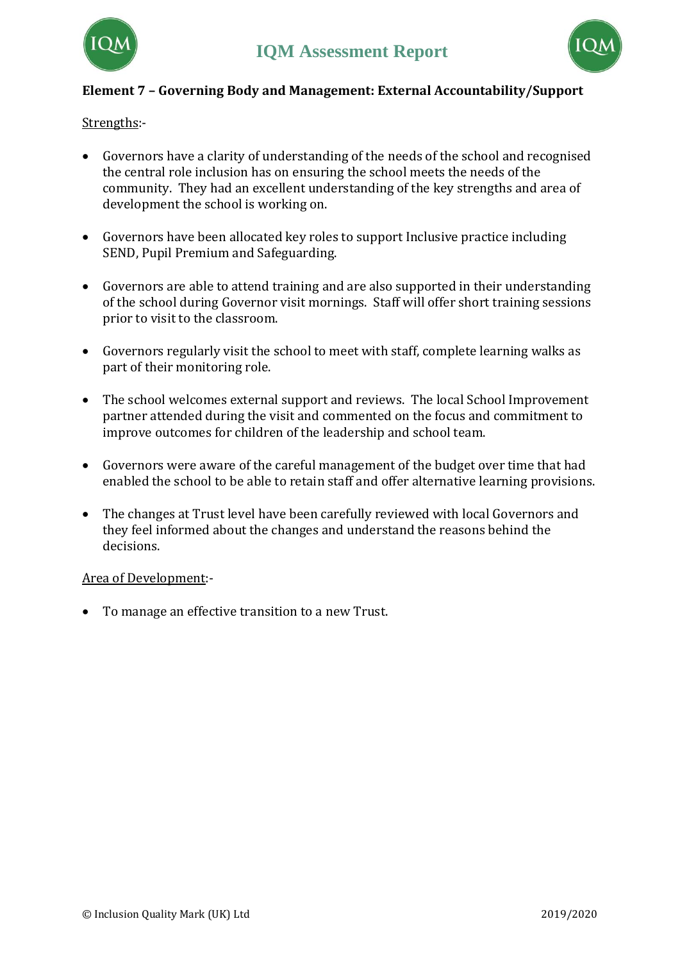



# **Element 7 – Governing Body and Management: External Accountability/Support**

Strengths:-

- Governors have a clarity of understanding of the needs of the school and recognised the central role inclusion has on ensuring the school meets the needs of the community. They had an excellent understanding of the key strengths and area of development the school is working on.
- Governors have been allocated key roles to support Inclusive practice including SEND, Pupil Premium and Safeguarding.
- Governors are able to attend training and are also supported in their understanding of the school during Governor visit mornings. Staff will offer short training sessions prior to visit to the classroom.
- Governors regularly visit the school to meet with staff, complete learning walks as part of their monitoring role.
- The school welcomes external support and reviews. The local School Improvement partner attended during the visit and commented on the focus and commitment to improve outcomes for children of the leadership and school team.
- Governors were aware of the careful management of the budget over time that had enabled the school to be able to retain staff and offer alternative learning provisions.
- The changes at Trust level have been carefully reviewed with local Governors and they feel informed about the changes and understand the reasons behind the decisions.

Area of Development:-

• To manage an effective transition to a new Trust.